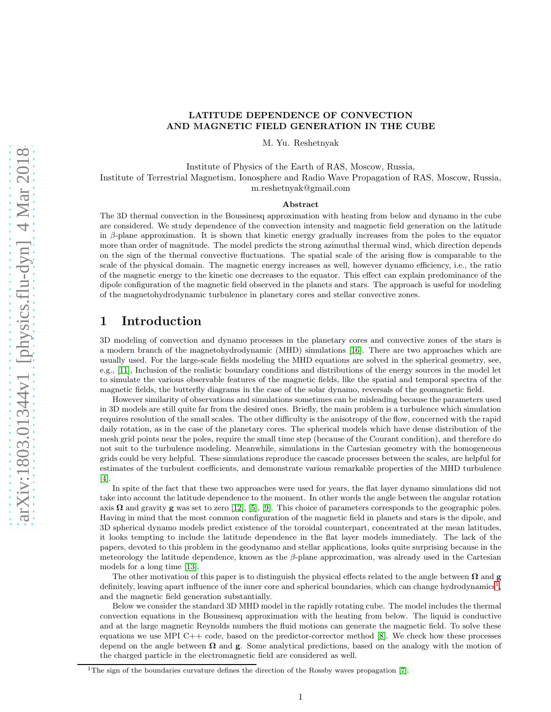#### LATITUDE DEPENDENCE OF CONVECTION AND MAGNETIC FIELD GENERATION IN THE CUBE

M. Yu. Reshetnyak

Institute of Physics of the Earth of RAS, Moscow, Russia, Institute of Terrestrial Magnetism, Ionosphere and Radio Wave Propagation of RAS, Moscow, Russia, m.reshetnyak@gmail.com

#### Abstract

The 3D thermal convection in the Boussinesq approximation with heating from below and dynamo in the cube are considered. We study dependence of the convection intensity and magnetic field generation on the latitude in  $\beta$ -plane approximation. It is shown that kinetic energy gradually increases from the poles to the equator more than order of magnitude. The model predicts the strong azimuthal thermal wind, which direction depends on the sign of the thermal convective fluctuations. The spatial scale of the arising flow is comparable to the scale of the physical domain. The magnetic energy increases as well, however dynamo efficiency, i.e., the ratio of the magnetic energy to the kinetic one decreases to the equator. This effect can explain predominance of the dipole configuration of the magnetic field observed in the planets and stars. The approach is useful for modeling of the magnetohydrodynamic turbulence in planetary cores and stellar convective zones.

## 1 Introduction

3D modeling of convection and dynamo processes in the planetary cores and convective zones of the stars is a modern branch of the magnetohydrodynamic (MHD) simulations [\[16\]](#page-6-0). There are two approaches which are usually used. For the large-scale fields modeling the MHD equations are solved in the spherical geometry, see, e.g., [\[11\]](#page-6-1), Inclusion of the realistic boundary conditions and distributions of the energy sources in the model let to simulate the various observable features of the magnetic fields, like the spatial and temporal spectra of the magnetic fields, the butterfly diagrams in the case of the solar dynamo, reversals of the geomagnetic field.

However similarity of observations and simulations sometimes can be misleading because the parameters used in 3D models are still quite far from the desired ones. Briefly, the main problem is a turbulence which simulation requires resolution of the small scales. The other difficulty is the anisotropy of the flow, concerned with the rapid daily rotation, as in the case of the planetary cores. The spherical models which have dense distribution of the mesh grid points near the poles, require the small time step (because of the Courant condition), and therefore do not suit to the turbulence modeling. Meanwhile, simulations in the Cartesian geometry with the homogeneous grids could be very helpful. These simulations reproduce the cascade processes between the scales, are helpful for estimates of the turbulent coefficients, and demonstrate various remarkable properties of the MHD turbulence [\[4\]](#page-6-2).

In spite of the fact that these two approaches were used for years, the flat layer dynamo simulations did not take into account the latitude dependence to the moment. In other words the angle between the angular rotation axis  $\Omega$  and gravity g was set to zero [\[12\]](#page-6-3), [\[5\]](#page-6-4), [\[9\]](#page-6-5). This choice of parameters corresponds to the geographic poles. Having in mind that the most common configuration of the magnetic field in planets and stars is the dipole, and 3D spherical dynamo models predict existence of the toroidal counterpart, concentrated at the mean latitudes, it looks tempting to include the latitude dependence in the flat layer models immediately. The lack of the papers, devoted to this problem in the geodynamo and stellar applications, looks quite surprising because in the meteorology the latitude dependence, known as the  $\beta$ -plane approximation, was already used in the Cartesian models for a long time [\[13\]](#page-6-6).

The other motivation of this paper is to distinguish the physical effects related to the angle between  $\Omega$  and g definitely, leaving apart influence of the inner core and spherical boundaries, which can change hydrodynamics<sup>[1](#page-0-0)</sup>, and the magnetic field generation substantially.

Below we consider the standard 3D MHD model in the rapidly rotating cube. The model includes the thermal convection equations in the Boussinesq approximation with the heating from below. The liquid is conductive and at the large magnetic Reynolds numbers the fluid motions can generate the magnetic field. To solve these equations we use MPI C++ code, based on the predictor-corrector method  $[8]$ . We check how these processes depend on the angle between  $\Omega$  and  $g$ . Some analytical predictions, based on the analogy with the motion of the charged particle in the electromagnetic field are considered as well.

<span id="page-0-0"></span><sup>&</sup>lt;sup>1</sup>The sign of the boundaries curvature defines the direction of the Rossby waves propagation [\[7\]](#page-6-8).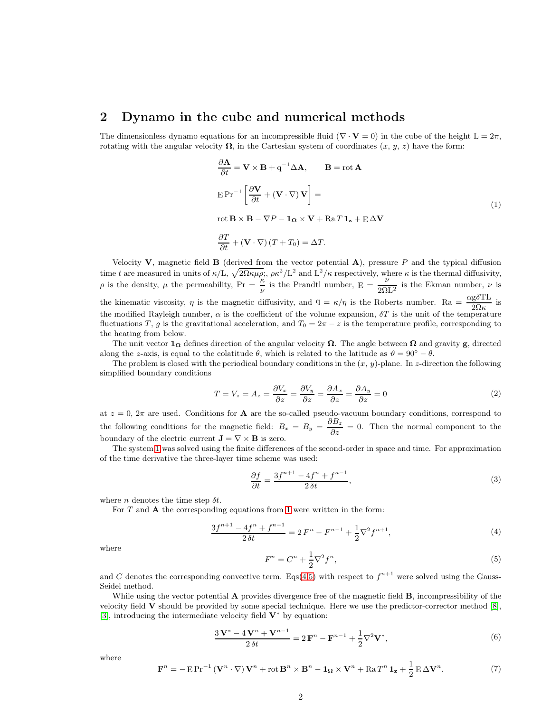#### 2 Dynamo in the cube and numerical methods

The dimensionless dynamo equations for an incompressible fluid ( $\nabla \cdot \mathbf{V} = 0$ ) in the cube of the height  $L = 2\pi$ , rotating with the angular velocity  $\Omega$ , in the Cartesian system of coordinates  $(x, y, z)$  have the form:

<span id="page-1-0"></span>
$$
\frac{\partial \mathbf{A}}{\partial t} = \mathbf{V} \times \mathbf{B} + q^{-1} \Delta \mathbf{A}, \qquad \mathbf{B} = \text{rot } \mathbf{A}
$$
  
\n
$$
E Pr^{-1} \left[ \frac{\partial \mathbf{V}}{\partial t} + (\mathbf{V} \cdot \nabla) \mathbf{V} \right] =
$$
  
\n
$$
\text{rot } \mathbf{B} \times \mathbf{B} - \nabla P - \mathbf{1}_{\Omega} \times \mathbf{V} + \text{Ra } T \mathbf{1}_{\mathbf{z}} + \mathbf{E} \Delta \mathbf{V}
$$
  
\n
$$
\frac{\partial T}{\partial t} + (\mathbf{V} \cdot \nabla) (T + T_0) = \Delta T.
$$
\n(1)

Velocity V, magnetic field **B** (derived from the vector potential  $A$ ), pressure P and the typical diffusion time t are measured in units of  $\kappa/L$ ,  $\sqrt{2\Omega \kappa \mu \rho}$ ;,  $\rho \kappa^2/L^2$  and  $L^2/\kappa$  respectively, where  $\kappa$  is the thermal diffusivity,  $\rho$  is the density,  $\mu$  the permeability,  $\Pr = \frac{\kappa}{\nu}$  is the Prandtl number,  $\frac{\nu}{2\Omega L^2}$  is the Ekman number,  $\nu$  is the kinematic viscosity,  $\eta$  is the magnetic diffusivity, and  $q = \kappa/\eta$  is the Roberts number. Ra  $= \frac{\alpha g \delta T L}{2\Omega \kappa}$  is the modified Rayleigh number,  $\alpha$  is the coefficient of the volume expansion,  $\delta T$  is the unit of the temperature fluctuations T, g is the gravitational acceleration, and  $T_0 = 2\pi - z$  is the temperature profile, corresponding to the heating from below.

The unit vector  $1_{\Omega}$  defines direction of the angular velocity  $\Omega$ . The angle between  $\Omega$  and gravity g, directed along the z-axis, is equal to the colatitude  $\theta$ , which is related to the latitude as  $\vartheta = 90^{\circ} - \theta$ .

The problem is closed with the periodical boundary conditions in the  $(x, y)$ -plane. In z-direction the following simplified boundary conditions

$$
T = V_z = A_z = \frac{\partial V_x}{\partial z} = \frac{\partial V_y}{\partial z} = \frac{\partial A_x}{\partial z} = \frac{\partial A_y}{\partial z} = 0
$$
\n(2)

at  $z = 0$ ,  $2\pi$  are used. Conditions for **A** are the so-called pseudo-vacuum boundary conditions, correspond to the following conditions for the magnetic field:  $B_x = B_y = \frac{\partial B_z}{\partial z} = 0$ . Then the normal component to the boundary of the electric current  $\mathbf{J} = \nabla \times \mathbf{B}$  is zero.

The system [1](#page-1-0) was solved using the finite differences of the second-order in space and time. For approximation of the time derivative the three-layer time scheme was used:

$$
\frac{\partial f}{\partial t} = \frac{3f^{n+1} - 4f^n + f^{n-1}}{2\,\delta t},\tag{3}
$$

where *n* denotes the time step  $\delta t$ .

For  $T$  and  $A$  the corresponding equations from [1](#page-1-0) were written in the form:

<span id="page-1-1"></span>
$$
\frac{3f^{n+1} - 4f^n + f^{n-1}}{2\delta t} = 2F^n - F^{n-1} + \frac{1}{2}\nabla^2 f^{n+1},\tag{4}
$$

where

<span id="page-1-2"></span>
$$
F^n = C^n + \frac{1}{2}\nabla^2 f^n,\tag{5}
$$

and C denotes the corresponding convective term. Eqs[\(4,](#page-1-1)[5\)](#page-1-2) with respect to  $f^{n+1}$  were solved using the Gauss-Seidel method.

While using the vector potential **A** provides divergence free of the magnetic field **B**, incompressibility of the velocity field V should be provided by some special technique. Here we use the predictor-corrector method [\[8\]](#page-6-7), [\[3\]](#page-6-9), introducing the intermediate velocity field  $V^*$  by equation:

<span id="page-1-3"></span>
$$
\frac{3\mathbf{V}^* - 4\mathbf{V}^n + \mathbf{V}^{n-1}}{2\delta t} = 2\mathbf{F}^n - \mathbf{F}^{n-1} + \frac{1}{2}\nabla^2\mathbf{V}^*,
$$
\n(6)

where

<span id="page-1-4"></span>
$$
\mathbf{F}^{n} = -\operatorname{E} \operatorname{Pr}^{-1} \left( \mathbf{V}^{n} \cdot \nabla \right) \mathbf{V}^{n} + \operatorname{rot} \mathbf{B}^{n} \times \mathbf{B}^{n} - \mathbf{1}_{\Omega} \times \mathbf{V}^{n} + \operatorname{Ra} T^{n} \mathbf{1}_{\mathbf{z}} + \frac{1}{2} \operatorname{E} \Delta \mathbf{V}^{n}.
$$
 (7)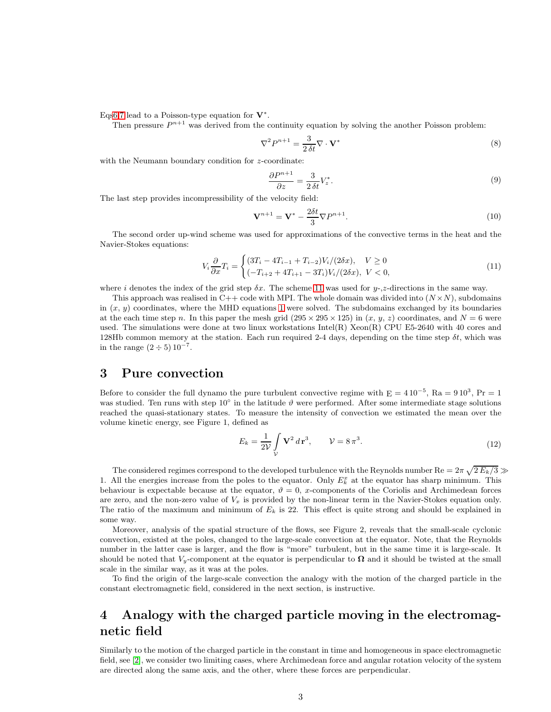Eq[s6](#page-1-3)[,7](#page-1-4) lead to a Poisson-type equation for  $V^*$ .

Then pressure  $P^{n+1}$  was derived from the continuity equation by solving the another Poisson problem:

$$
\nabla^2 P^{n+1} = \frac{3}{2\,\delta t} \nabla \cdot \mathbf{V}^* \tag{8}
$$

with the Neumann boundary condition for z-coordinate:

$$
\frac{\partial P^{n+1}}{\partial z} = \frac{3}{2\,\delta t} V_z^*.
$$
\n<sup>(9)</sup>

The last step provides incompressibility of the velocity field:

$$
\mathbf{V}^{n+1} = \mathbf{V}^* - \frac{2\delta t}{3} \nabla P^{n+1}.
$$
\n(10)

The second order up-wind scheme was used for approximations of the convective terms in the heat and the Navier-Stokes equations:

<span id="page-2-0"></span>
$$
V_i \frac{\partial}{\partial x} T_i = \begin{cases} (3T_i - 4T_{i-1} + T_{i-2})V_i/(2\delta x), & V \ge 0\\ (-T_{i+2} + 4T_{i+1} - 3T_i)V_i/(2\delta x), & V < 0, \end{cases}
$$
(11)

where i denotes the index of the grid step  $\delta x$ . The scheme [11](#page-2-0) was used for y-,z-directions in the same way.

This approach was realised in C++ code with MPI. The whole domain was divided into  $(N \times N)$ , subdomains in  $(x, y)$  coordinates, where the MHD equations [1](#page-1-0) were solved. The subdomains exchanged by its boundaries at the each time step n. In this paper the mesh grid  $(295 \times 295 \times 125)$  in  $(x, y, z)$  coordinates, and  $N = 6$  were used. The simulations were done at two linux workstations Intel(R) Xeon(R) CPU E5-2640 with 40 cores and 128Hb common memory at the station. Each run required 2-4 days, depending on the time step  $\delta t$ , which was in the range  $(2 \div 5) 10^{-7}$ .

### 3 Pure convection

Before to consider the full dynamo the pure turbulent convective regime with  $E = 410^{-5}$ , Ra = 910<sup>3</sup>, Pr = 1 was studied. Ten runs with step 10° in the latitude  $\vartheta$  were performed. After some intermediate stage solutions reached the quasi-stationary states. To measure the intensity of convection we estimated the mean over the volume kinetic energy, see Figure 1, defined as

$$
E_k = \frac{1}{2\mathcal{V}} \int\limits_{\mathcal{V}} \mathbf{V}^2 \, d\mathbf{r}^3, \qquad \mathcal{V} = 8\,\pi^3. \tag{12}
$$

The considered regimes correspond to the developed turbulence with the Reynolds number  $\text{Re} = 2\pi \sqrt{2\,E_k/3} \gg$ 1. All the energies increase from the poles to the equator. Only  $E_k^x$  at the equator has sharp minimum. This behaviour is expectable because at the equator,  $\vartheta = 0$ , x-components of the Coriolis and Archimedean forces are zero, and the non-zero value of  $V_x$  is provided by the non-linear term in the Navier-Stokes equation only. The ratio of the maximum and minimum of  $E_k$  is 22. This effect is quite strong and should be explained in some way.

Moreover, analysis of the spatial structure of the flows, see Figure 2, reveals that the small-scale cyclonic convection, existed at the poles, changed to the large-scale convection at the equator. Note, that the Reynolds number in the latter case is larger, and the flow is "more" turbulent, but in the same time it is large-scale. It should be noted that  $V_y$ -component at the equator is perpendicular to  $\Omega$  and it should be twisted at the small scale in the similar way, as it was at the poles.

To find the origin of the large-scale convection the analogy with the motion of the charged particle in the constant electromagnetic field, considered in the next section, is instructive.

# 4 Analogy with the charged particle moving in the electromagnetic field

Similarly to the motion of the charged particle in the constant in time and homogeneous in space electromagnetic field, see [\[2\]](#page-6-10), we consider two limiting cases, where Archimedean force and angular rotation velocity of the system are directed along the same axis, and the other, where these forces are perpendicular.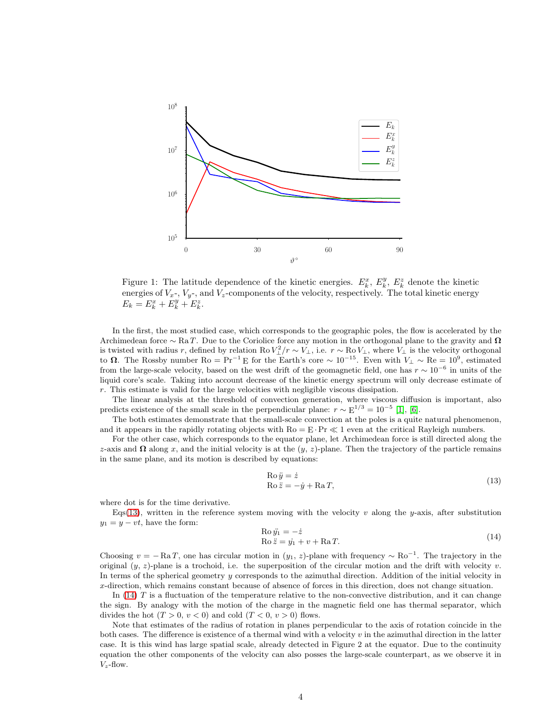

Figure 1: The latitude dependence of the kinetic energies.  $E_k^x$ ,  $E_k^y$ ,  $E_k^z$  denote the kinetic energies of  $V_x$ -,  $V_y$ -, and  $V_z$ -components of the velocity, respectively. The total kinetic energy  $E_k = E_k^x + E_k^y + E_k^z.$ 

In the first, the most studied case, which corresponds to the geographic poles, the flow is accelerated by the Archimedean force ∼ Ra T. Due to the Coriolice force any motion in the orthogonal plane to the gravity and  $\Omega$ is twisted with radius r, defined by relation Ro  $V_{\perp}^2/r \sim V_{\perp}$ , i.e.  $r \sim \text{Ro } V_{\perp}$ , where  $V_{\perp}$  is the velocity orthogonal to  $\Omega$ . The Rossby number  $Ro = Pr^{-1}E$  for the Earth's core ~ 10<sup>-15</sup>. Even with  $V_{\perp} \sim Re = 10^9$ , estimated from the large-scale velocity, based on the west drift of the geomagnetic field, one has  $r \sim 10^{-6}$  in units of the liquid core's scale. Taking into account decrease of the kinetic energy spectrum will only decrease estimate of r. This estimate is valid for the large velocities with negligible viscous dissipation.

The linear analysis at the threshold of convection generation, where viscous diffusion is important, also predicts existence of the small scale in the perpendicular plane:  $r \sim E^{1/3} = 10^{-5}$  [\[1\]](#page-6-11), [\[6\]](#page-6-12).

The both estimates demonstrate that the small-scale convection at the poles is a quite natural phenomenon, and it appears in the rapidly rotating objects with  $Ro = E \cdot Pr \ll 1$  even at the critical Rayleigh numbers.

For the other case, which corresponds to the equator plane, let Archimedean force is still directed along the z-axis and  $\Omega$  along x, and the initial velocity is at the (y, z)-plane. Then the trajectory of the particle remains in the same plane, and its motion is described by equations:

<span id="page-3-0"></span>
$$
Ro \ddot{y} = \dot{z} \nRo \ddot{z} = -\dot{y} + Ra T,
$$
\n(13)

where dot is for the time derivative.

Eqs[\(13\)](#page-3-0), written in the reference system moving with the velocity v along the y-axis, after substitution  $y_1 = y - vt$ , have the form:

<span id="page-3-1"></span>
$$
Ro \ddot{y_1} = -\dot{z}
$$
  
\n
$$
Ro \ddot{z} = \dot{y_1} + v + Ra T.
$$
\n(14)

Choosing  $v = -RaT$ , one has circular motion in  $(y_1, z)$ -plane with frequency ~ Ro<sup>-1</sup>. The trajectory in the original  $(y, z)$ -plane is a trochoid, i.e. the superposition of the circular motion and the drift with velocity v. In terms of the spherical geometry y corresponds to the azimuthal direction. Addition of the initial velocity in x-direction, which remains constant because of absence of forces in this direction, does not change situation.

In  $(14)$  T is a fluctuation of the temperature relative to the non-convective distribution, and it can change the sign. By analogy with the motion of the charge in the magnetic field one has thermal separator, which divides the hot  $(T > 0, v < 0)$  and cold  $(T < 0, v > 0)$  flows.

Note that estimates of the radius of rotation in planes perpendicular to the axis of rotation coincide in the both cases. The difference is existence of a thermal wind with a velocity  $v$  in the azimuthal direction in the latter case. It is this wind has large spatial scale, already detected in Figure 2 at the equator. Due to the continuity equation the other components of the velocity can also posses the large-scale counterpart, as we observe it in  $V_z$ -flow.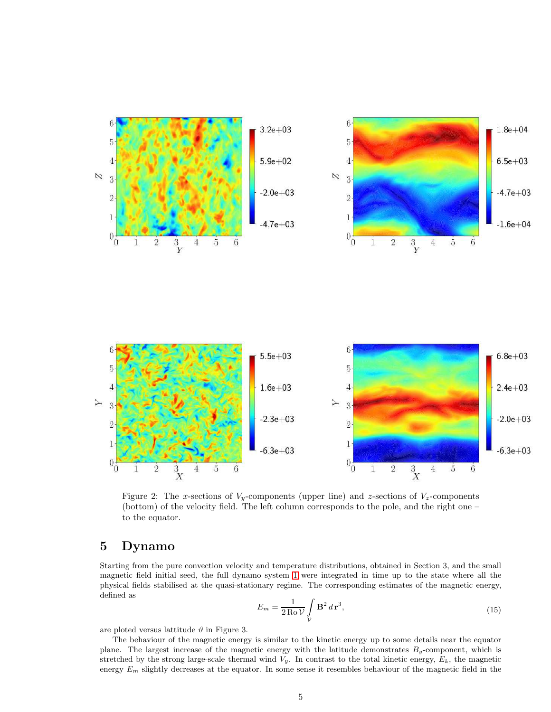

Figure 2: The x-sections of  $V_y$ -components (upper line) and z-sections of  $V_z$ -components (bottom) of the velocity field. The left column corresponds to the pole, and the right one – to the equator.

## 5 Dynamo

Starting from the pure convection velocity and temperature distributions, obtained in Section 3, and the small magnetic field initial seed, the full dynamo system [1](#page-1-0) were integrated in time up to the state where all the physical fields stabilised at the quasi-stationary regime. The corresponding estimates of the magnetic energy, defined as

$$
E_m = \frac{1}{2 \operatorname{Ro} \mathcal{V}} \int\limits_{\mathcal{V}} \mathbf{B}^2 d\mathbf{r}^3,\tag{15}
$$

are ploted versus lattitude  $\vartheta$  in Figure 3.

The behaviour of the magnetic energy is similar to the kinetic energy up to some details near the equator plane. The largest increase of the magnetic energy with the latitude demonstrates  $B_y$ -component, which is stretched by the strong large-scale thermal wind  $V_y$ . In contrast to the total kinetic energy,  $E_k$ , the magnetic energy  $E_m$  slightly decreases at the equator. In some sense it resembles behaviour of the magnetic field in the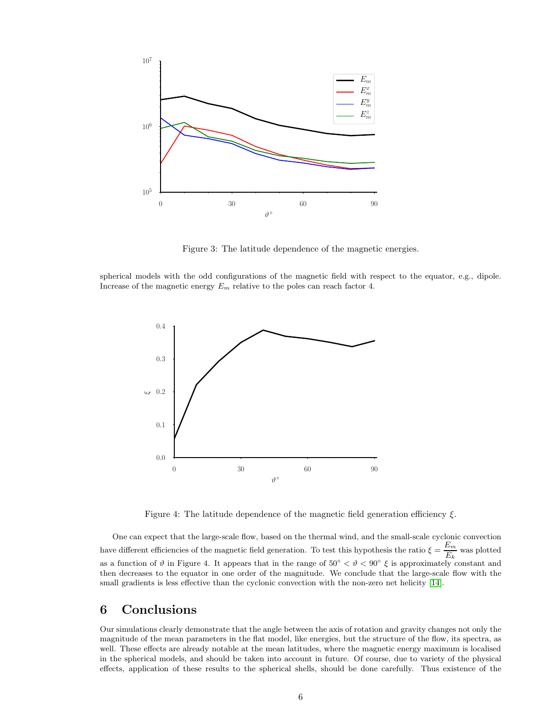

Figure 3: The latitude dependence of the magnetic energies.

spherical models with the odd configurations of the magnetic field with respect to the equator, e.g., dipole. Increase of the magnetic energy  $E_m$  relative to the poles can reach factor 4.



Figure 4: The latitude dependence of the magnetic field generation efficiency  $\xi$ .

One can expect that the large-scale flow, based on the thermal wind, and the small-scale cyclonic convection have different efficiencies of the magnetic field generation. To test this hypothesis the ratio  $\xi = \frac{E_m}{E_m}$  $\frac{E_m}{E_k}$  was plotted as a function of  $\vartheta$  in Figure 4. It appears that in the range of  $50^{\circ} < \vartheta < 90^{\circ} \xi$  is approximately constant and then decreases to the equator in one order of the magnitude. We conclude that the large-scale flow with the small gradients is less effective than the cyclonic convection with the non-zero net helicity [\[14\]](#page-6-13).

## 6 Conclusions

Our simulations clearly demonstrate that the angle between the axis of rotation and gravity changes not only the magnitude of the mean parameters in the flat model, like energies, but the structure of the flow, its spectra, as well. These effects are already notable at the mean latitudes, where the magnetic energy maximum is localised in the spherical models, and should be taken into account in future. Of course, due to variety of the physical effects, application of these results to the spherical shells, should be done carefully. Thus existence of the